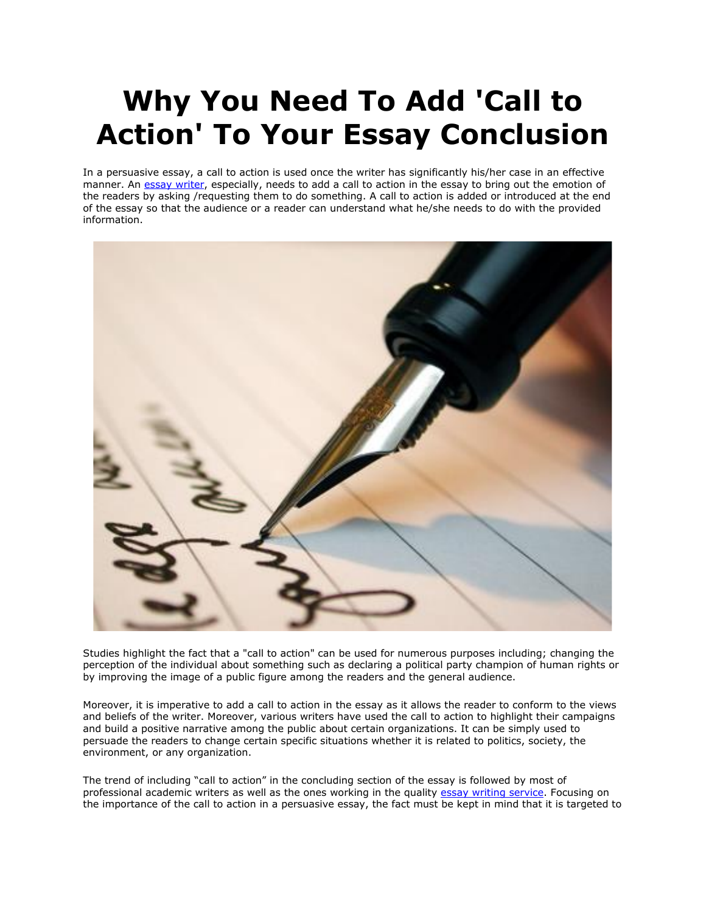## **Why You Need To Add 'Call to Action' To Your Essay Conclusion**

In a persuasive essay, a call to action is used once the writer has significantly his/her case in an effective manner. An [essay writer,](https://essayhours.com/) especially, needs to add a call to action in the essay to bring out the emotion of the readers by asking /requesting them to do something. A call to action is added or introduced at the end of the essay so that the audience or a reader can understand what he/she needs to do with the provided information.



Studies highlight the fact that a "call to action" can be used for numerous purposes including; changing the perception of the individual about something such as declaring a political party champion of human rights or by improving the image of a public figure among the readers and the general audience.

Moreover, it is imperative to add a call to action in the essay as it allows the reader to conform to the views and beliefs of the writer. Moreover, various writers have used the call to action to highlight their campaigns and build a positive narrative among the public about certain organizations. It can be simply used to persuade the readers to change certain specific situations whether it is related to politics, society, the environment, or any organization.

The trend of including "call to action" in the concluding section of the essay is followed by most of professional academic writers as well as the ones working in the quality [essay writing service.](https://www.collegeessay.org/) Focusing on the importance of the call to action in a persuasive essay, the fact must be kept in mind that it is targeted to